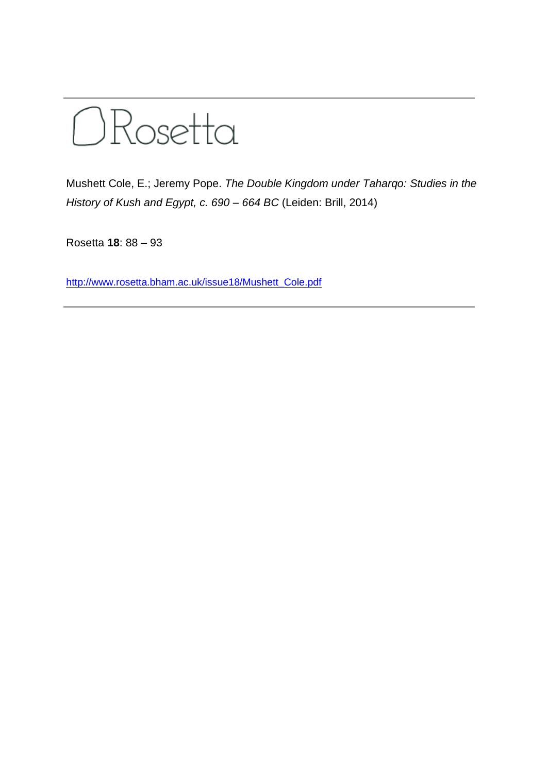

Mushett Cole, E.; Jeremy Pope. *The Double Kingdom under Taharqo: Studies in the History of Kush and Egypt, c. 690 – 664 BC* (Leiden: Brill, 2014)

Rosetta **18**: 88 – 93

[http://www.rosetta.bham.ac.uk/issue18/Mushett\\_Cole.pdf](http://www.rosetta.bham.ac.uk/issue18/Mushett_Cole.pdf)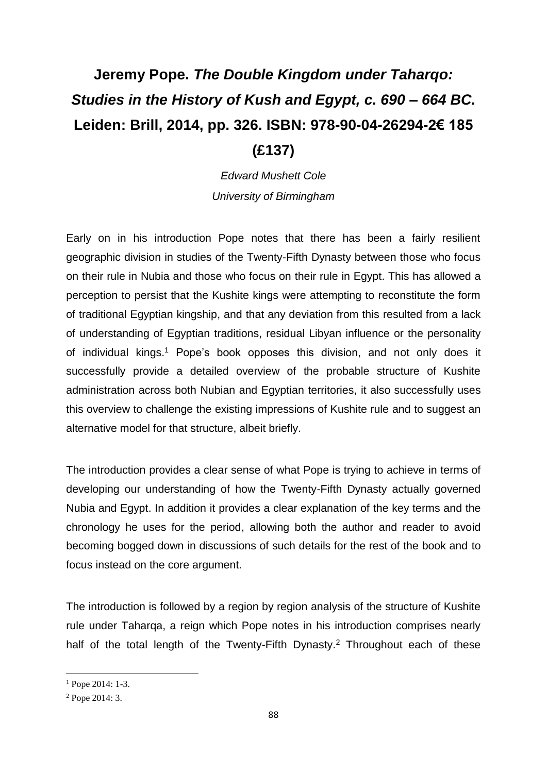## **Jeremy Pope.** *The Double Kingdom under Taharqo: Studies in the History of Kush and Egypt, c. 690 – 664 BC.* **Leiden: Brill, 2014, pp. 326. ISBN: 978-90-04-26294-2€ 185 (£137)**

*Edward Mushett Cole University of Birmingham*

Early on in his introduction Pope notes that there has been a fairly resilient geographic division in studies of the Twenty-Fifth Dynasty between those who focus on their rule in Nubia and those who focus on their rule in Egypt. This has allowed a perception to persist that the Kushite kings were attempting to reconstitute the form of traditional Egyptian kingship, and that any deviation from this resulted from a lack of understanding of Egyptian traditions, residual Libyan influence or the personality of individual kings.<sup>1</sup> Pope's book opposes this division, and not only does it successfully provide a detailed overview of the probable structure of Kushite administration across both Nubian and Egyptian territories, it also successfully uses this overview to challenge the existing impressions of Kushite rule and to suggest an alternative model for that structure, albeit briefly.

The introduction provides a clear sense of what Pope is trying to achieve in terms of developing our understanding of how the Twenty-Fifth Dynasty actually governed Nubia and Egypt. In addition it provides a clear explanation of the key terms and the chronology he uses for the period, allowing both the author and reader to avoid becoming bogged down in discussions of such details for the rest of the book and to focus instead on the core argument.

The introduction is followed by a region by region analysis of the structure of Kushite rule under Taharqa, a reign which Pope notes in his introduction comprises nearly half of the total length of the Twenty-Fifth Dynasty.<sup>2</sup> Throughout each of these

**.** 

<sup>1</sup> Pope 2014: 1-3.

<sup>2</sup> Pope 2014: 3.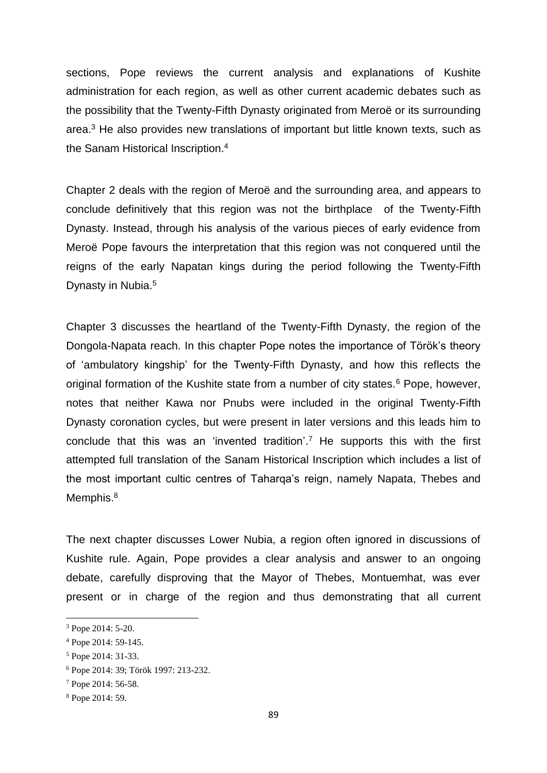sections, Pope reviews the current analysis and explanations of Kushite administration for each region, as well as other current academic debates such as the possibility that the Twenty-Fifth Dynasty originated from Meroë or its surrounding area. <sup>3</sup> He also provides new translations of important but little known texts, such as the Sanam Historical Inscription.<sup>4</sup>

Chapter 2 deals with the region of Meroë and the surrounding area, and appears to conclude definitively that this region was not the birthplace of the Twenty-Fifth Dynasty. Instead, through his analysis of the various pieces of early evidence from Meroë Pope favours the interpretation that this region was not conquered until the reigns of the early Napatan kings during the period following the Twenty-Fifth Dynasty in Nubia. 5

Chapter 3 discusses the heartland of the Twenty-Fifth Dynasty, the region of the Dongola-Napata reach. In this chapter Pope notes the importance of Török's theory of 'ambulatory kingship' for the Twenty-Fifth Dynasty, and how this reflects the original formation of the Kushite state from a number of city states.<sup>6</sup> Pope, however, notes that neither Kawa nor Pnubs were included in the original Twenty-Fifth Dynasty coronation cycles, but were present in later versions and this leads him to conclude that this was an 'invented tradition'.<sup>7</sup> He supports this with the first attempted full translation of the Sanam Historical Inscription which includes a list of the most important cultic centres of Taharqa's reign, namely Napata, Thebes and Memphis.<sup>8</sup>

The next chapter discusses Lower Nubia, a region often ignored in discussions of Kushite rule. Again, Pope provides a clear analysis and answer to an ongoing debate, carefully disproving that the Mayor of Thebes, Montuemhat, was ever present or in charge of the region and thus demonstrating that all current

**.** 

<sup>&</sup>lt;sup>3</sup> Pope 2014: 5-20.

<sup>4</sup> Pope 2014: 59-145.

<sup>5</sup> Pope 2014: 31-33.

<sup>6</sup> Pope 2014: 39; Török 1997: 213-232.

<sup>7</sup> Pope 2014: 56-58.

<sup>8</sup> Pope 2014: 59.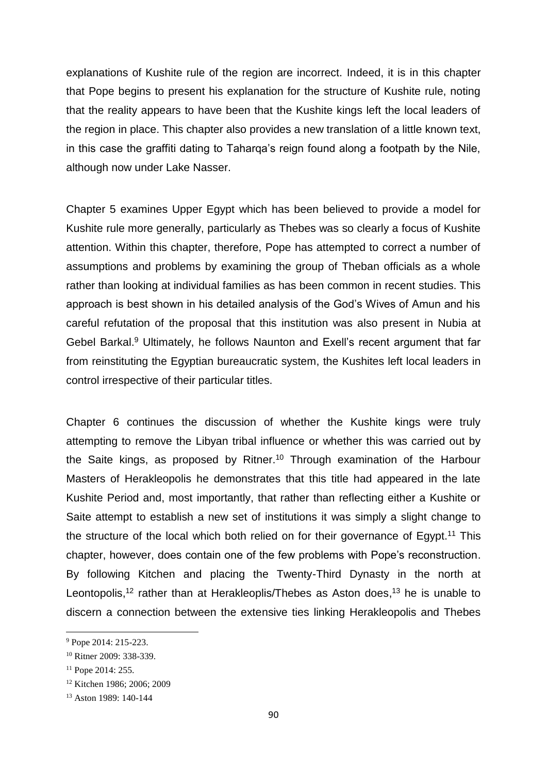explanations of Kushite rule of the region are incorrect. Indeed, it is in this chapter that Pope begins to present his explanation for the structure of Kushite rule, noting that the reality appears to have been that the Kushite kings left the local leaders of the region in place. This chapter also provides a new translation of a little known text, in this case the graffiti dating to Taharqa's reign found along a footpath by the Nile, although now under Lake Nasser.

Chapter 5 examines Upper Egypt which has been believed to provide a model for Kushite rule more generally, particularly as Thebes was so clearly a focus of Kushite attention. Within this chapter, therefore, Pope has attempted to correct a number of assumptions and problems by examining the group of Theban officials as a whole rather than looking at individual families as has been common in recent studies. This approach is best shown in his detailed analysis of the God's Wives of Amun and his careful refutation of the proposal that this institution was also present in Nubia at Gebel Barkal.<sup>9</sup> Ultimately, he follows Naunton and Exell's recent argument that far from reinstituting the Egyptian bureaucratic system, the Kushites left local leaders in control irrespective of their particular titles.

Chapter 6 continues the discussion of whether the Kushite kings were truly attempting to remove the Libyan tribal influence or whether this was carried out by the Saite kings, as proposed by Ritner. <sup>10</sup> Through examination of the Harbour Masters of Herakleopolis he demonstrates that this title had appeared in the late Kushite Period and, most importantly, that rather than reflecting either a Kushite or Saite attempt to establish a new set of institutions it was simply a slight change to the structure of the local which both relied on for their governance of Egypt.<sup>11</sup> This chapter, however, does contain one of the few problems with Pope's reconstruction. By following Kitchen and placing the Twenty-Third Dynasty in the north at Leontopolis,<sup>12</sup> rather than at Herakleoplis/Thebes as Aston does,<sup>13</sup> he is unable to discern a connection between the extensive ties linking Herakleopolis and Thebes

 $\overline{a}$ 

<sup>9</sup> Pope 2014: 215-223.

<sup>10</sup> Ritner 2009: 338-339.

 $11$  Pope 2014: 255.

<sup>12</sup> Kitchen 1986; 2006; 2009

<sup>13</sup> Aston 1989: 140-144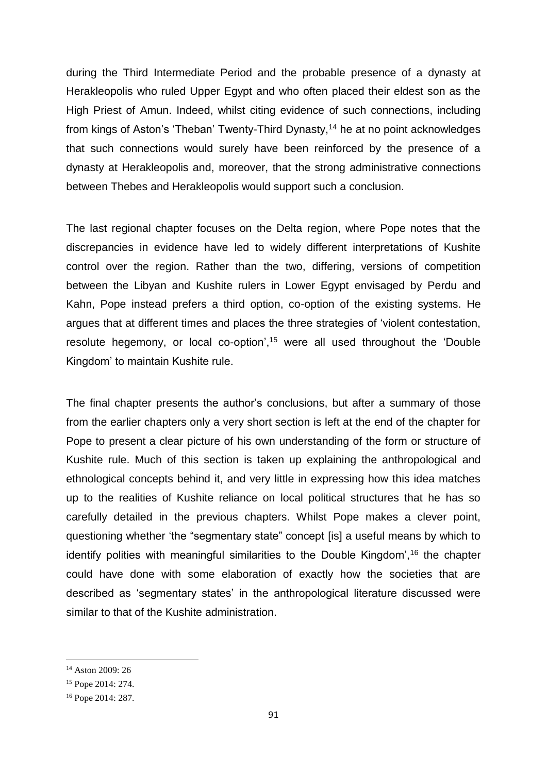during the Third Intermediate Period and the probable presence of a dynasty at Herakleopolis who ruled Upper Egypt and who often placed their eldest son as the High Priest of Amun. Indeed, whilst citing evidence of such connections, including from kings of Aston's 'Theban' Twenty-Third Dynasty,<sup>14</sup> he at no point acknowledges that such connections would surely have been reinforced by the presence of a dynasty at Herakleopolis and, moreover, that the strong administrative connections between Thebes and Herakleopolis would support such a conclusion.

The last regional chapter focuses on the Delta region, where Pope notes that the discrepancies in evidence have led to widely different interpretations of Kushite control over the region. Rather than the two, differing, versions of competition between the Libyan and Kushite rulers in Lower Egypt envisaged by Perdu and Kahn, Pope instead prefers a third option, co-option of the existing systems. He argues that at different times and places the three strategies of 'violent contestation, resolute hegemony, or local co-option',<sup>15</sup> were all used throughout the 'Double Kingdom' to maintain Kushite rule.

The final chapter presents the author's conclusions, but after a summary of those from the earlier chapters only a very short section is left at the end of the chapter for Pope to present a clear picture of his own understanding of the form or structure of Kushite rule. Much of this section is taken up explaining the anthropological and ethnological concepts behind it, and very little in expressing how this idea matches up to the realities of Kushite reliance on local political structures that he has so carefully detailed in the previous chapters. Whilst Pope makes a clever point, questioning whether 'the "segmentary state" concept [is] a useful means by which to identify polities with meaningful similarities to the Double Kingdom',<sup>16</sup> the chapter could have done with some elaboration of exactly how the societies that are described as 'segmentary states' in the anthropological literature discussed were similar to that of the Kushite administration.

1

<sup>14</sup> Aston 2009: 26

<sup>15</sup> Pope 2014: 274.

<sup>16</sup> Pope 2014: 287.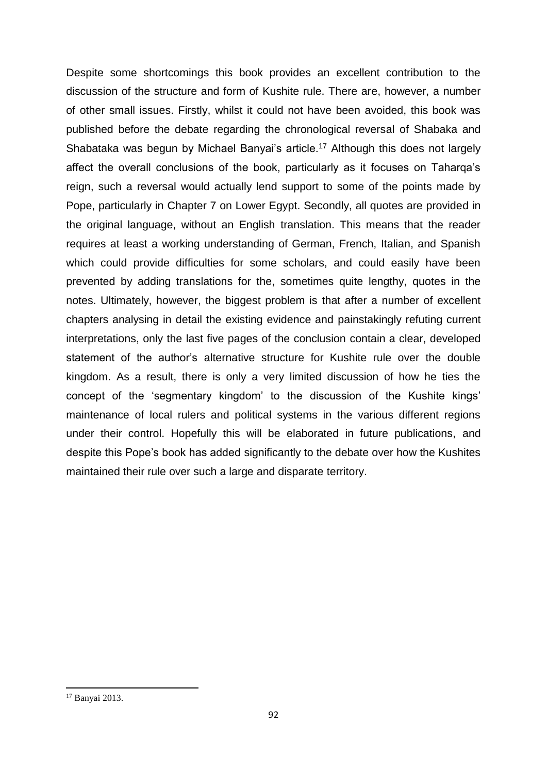Despite some shortcomings this book provides an excellent contribution to the discussion of the structure and form of Kushite rule. There are, however, a number of other small issues. Firstly, whilst it could not have been avoided, this book was published before the debate regarding the chronological reversal of Shabaka and Shabataka was begun by Michael Banyai's article.<sup>17</sup> Although this does not largely affect the overall conclusions of the book, particularly as it focuses on Taharqa's reign, such a reversal would actually lend support to some of the points made by Pope, particularly in Chapter 7 on Lower Egypt. Secondly, all quotes are provided in the original language, without an English translation. This means that the reader requires at least a working understanding of German, French, Italian, and Spanish which could provide difficulties for some scholars, and could easily have been prevented by adding translations for the, sometimes quite lengthy, quotes in the notes. Ultimately, however, the biggest problem is that after a number of excellent chapters analysing in detail the existing evidence and painstakingly refuting current interpretations, only the last five pages of the conclusion contain a clear, developed statement of the author's alternative structure for Kushite rule over the double kingdom. As a result, there is only a very limited discussion of how he ties the concept of the 'segmentary kingdom' to the discussion of the Kushite kings' maintenance of local rulers and political systems in the various different regions under their control. Hopefully this will be elaborated in future publications, and despite this Pope's book has added significantly to the debate over how the Kushites maintained their rule over such a large and disparate territory.

**.** 

<sup>17</sup> Banyai 2013.